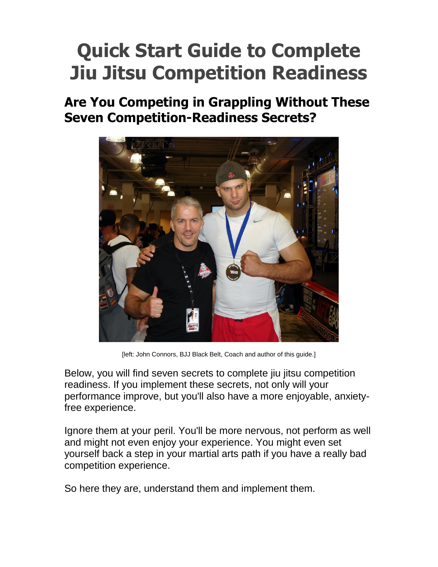# **Quick Start Guide to Complete Jiu Jitsu Competition Readiness**

### **Are You Competing in Grappling Without These Seven Competition-Readiness Secrets?**



[left: John Connors, BJJ Black Belt, Coach and author of this guide.]

Below, you will find seven secrets to complete jiu jitsu competition readiness. If you implement these secrets, not only will your performance improve, but you'll also have a more enjoyable, anxietyfree experience.

Ignore them at your peril. You'll be more nervous, not perform as well and might not even enjoy your experience. You might even set yourself back a step in your martial arts path if you have a really bad competition experience.

So here they are, understand them and implement them.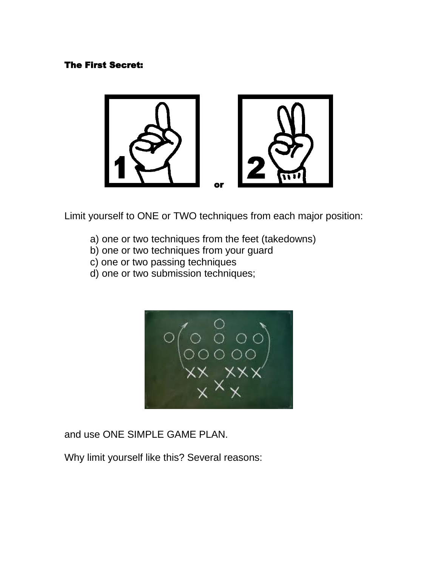#### The First Secret:



Limit yourself to ONE or TWO techniques from each major position:

- a) one or two techniques from the feet (takedowns)
- b) one or two techniques from your guard
- c) one or two passing techniques
- d) one or two submission techniques;



and use ONE SIMPLE GAME PLAN.

Why limit yourself like this? Several reasons: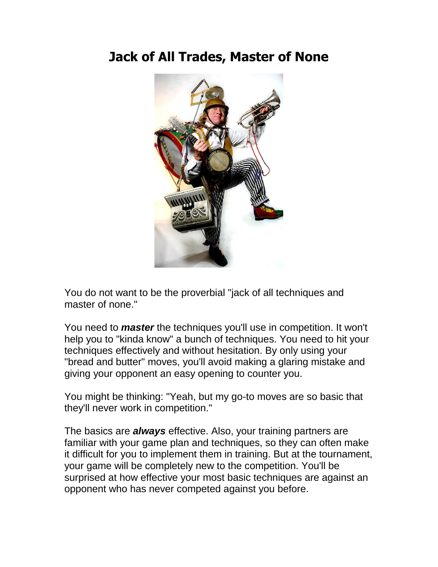### **Jack of All Trades, Master of None**



You do not want to be the proverbial "jack of all techniques and master of none."

You need to *master* the techniques you'll use in competition. It won't help you to "kinda know" a bunch of techniques. You need to hit your techniques effectively and without hesitation. By only using your "bread and butter" moves, you'll avoid making a glaring mistake and giving your opponent an easy opening to counter you.

You might be thinking: "Yeah, but my go-to moves are so basic that they'll never work in competition."

The basics are *always* effective. Also, your training partners are familiar with your game plan and techniques, so they can often make it difficult for you to implement them in training. But at the tournament, your game will be completely new to the competition. You'll be surprised at how effective your most basic techniques are against an opponent who has never competed against you before.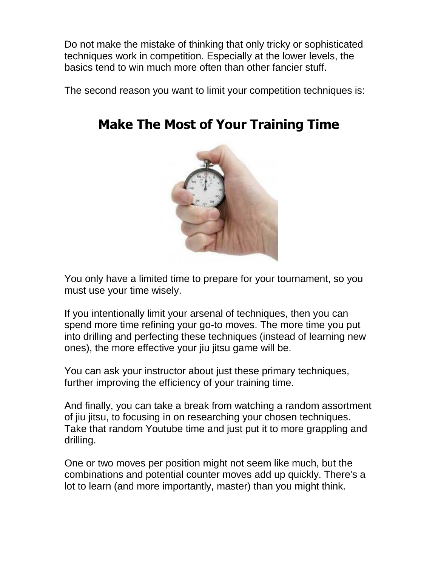Do not make the mistake of thinking that only tricky or sophisticated techniques work in competition. Especially at the lower levels, the basics tend to win much more often than other fancier stuff.

The second reason you want to limit your competition techniques is:



## **Make The Most of Your Training Time**

You only have a limited time to prepare for your tournament, so you must use your time wisely.

If you intentionally limit your arsenal of techniques, then you can spend more time refining your go-to moves. The more time you put into drilling and perfecting these techniques (instead of learning new ones), the more effective your jiu jitsu game will be.

You can ask your instructor about just these primary techniques, further improving the efficiency of your training time.

And finally, you can take a break from watching a random assortment of jiu jitsu, to focusing in on researching your chosen techniques. Take that random Youtube time and just put it to more grappling and drilling.

One or two moves per position might not seem like much, but the combinations and potential counter moves add up quickly. There's a lot to learn (and more importantly, master) than you might think.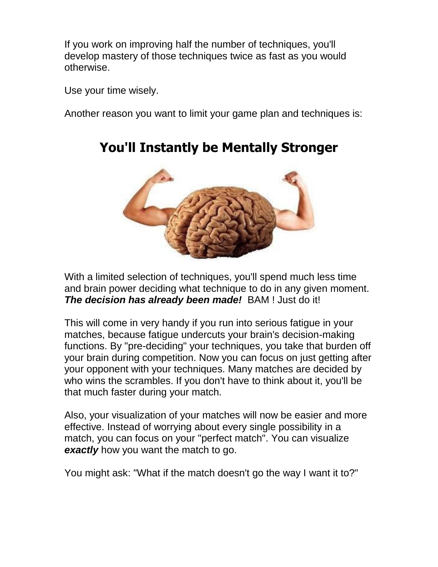If you work on improving half the number of techniques, you'll develop mastery of those techniques twice as fast as you would otherwise.

Use your time wisely.

Another reason you want to limit your game plan and techniques is:



### **You'll Instantly be Mentally Stronger**

With a limited selection of techniques, you'll spend much less time and brain power deciding what technique to do in any given moment. *The decision has already been made!* BAM ! Just do it!

This will come in very handy if you run into serious fatigue in your matches, because fatigue undercuts your brain's decision-making functions. By "pre-deciding" your techniques, you take that burden off your brain during competition. Now you can focus on just getting after your opponent with your techniques. Many matches are decided by who wins the scrambles. If you don't have to think about it, you'll be that much faster during your match.

Also, your visualization of your matches will now be easier and more effective. Instead of worrying about every single possibility in a match, you can focus on your "perfect match". You can visualize **exactly** how you want the match to go.

You might ask: "What if the match doesn't go the way I want it to?"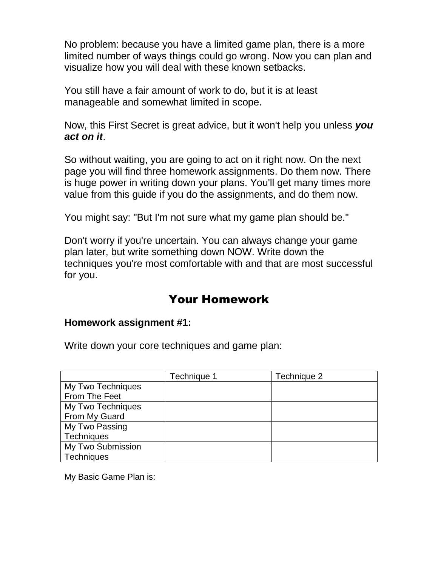No problem: because you have a limited game plan, there is a more limited number of ways things could go wrong. Now you can plan and visualize how you will deal with these known setbacks.

You still have a fair amount of work to do, but it is at least manageable and somewhat limited in scope.

Now, this First Secret is great advice, but it won't help you unless *you act on it*.

So without waiting, you are going to act on it right now. On the next page you will find three homework assignments. Do them now. There is huge power in writing down your plans. You'll get many times more value from this guide if you do the assignments, and do them now.

You might say: "But I'm not sure what my game plan should be."

Don't worry if you're uncertain. You can always change your game plan later, but write something down NOW. Write down the techniques you're most comfortable with and that are most successful for you.

### Your Homework

#### **Homework assignment #1:**

Write down your core techniques and game plan:

|                   | Technique 1 | Technique 2 |
|-------------------|-------------|-------------|
| My Two Techniques |             |             |
| From The Feet     |             |             |
| My Two Techniques |             |             |
| From My Guard     |             |             |
| My Two Passing    |             |             |
| Techniques        |             |             |
| My Two Submission |             |             |
| <b>Techniques</b> |             |             |

My Basic Game Plan is: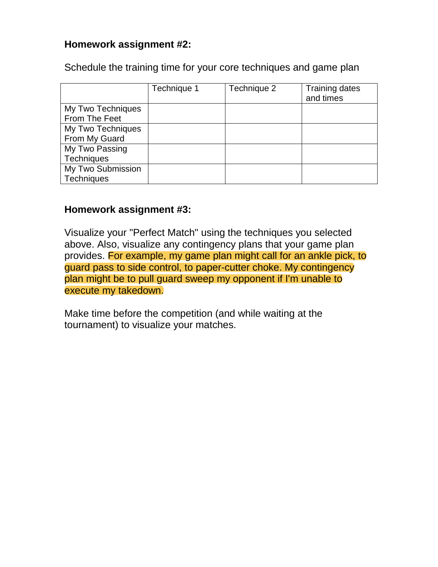### **Homework assignment #2:**

Schedule the training time for your core techniques and game plan

|                   | Technique 1 | Technique 2 | <b>Training dates</b><br>and times |
|-------------------|-------------|-------------|------------------------------------|
| My Two Techniques |             |             |                                    |
| From The Feet     |             |             |                                    |
| My Two Techniques |             |             |                                    |
| From My Guard     |             |             |                                    |
| My Two Passing    |             |             |                                    |
| Techniques        |             |             |                                    |
| My Two Submission |             |             |                                    |
| Techniques        |             |             |                                    |

### **Homework assignment #3:**

Visualize your "Perfect Match" using the techniques you selected above. Also, visualize any contingency plans that your game plan provides. For example, my game plan might call for an ankle pick, to guard pass to side control, to paper-cutter choke. My contingency plan might be to pull guard sweep my opponent if I'm unable to execute my takedown.

Make time before the competition (and while waiting at the tournament) to visualize your matches.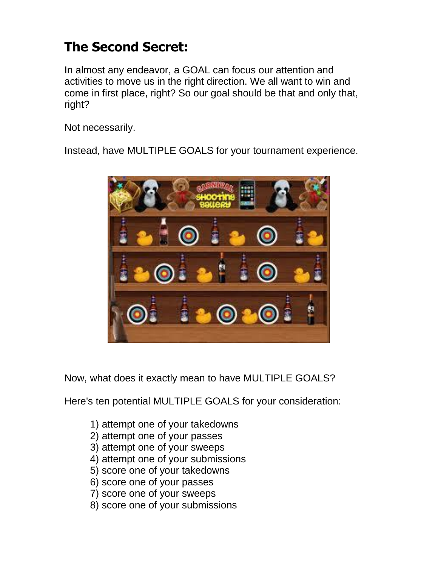## **The Second Secret:**

In almost any endeavor, a GOAL can focus our attention and activities to move us in the right direction. We all want to win and come in first place, right? So our goal should be that and only that, right?

Not necessarily.

Instead, have MULTIPLE GOALS for your tournament experience.



Now, what does it exactly mean to have MULTIPLE GOALS?

Here's ten potential MULTIPLE GOALS for your consideration:

- 1) attempt one of your takedowns
- 2) attempt one of your passes
- 3) attempt one of your sweeps
- 4) attempt one of your submissions
- 5) score one of your takedowns
- 6) score one of your passes
- 7) score one of your sweeps
- 8) score one of your submissions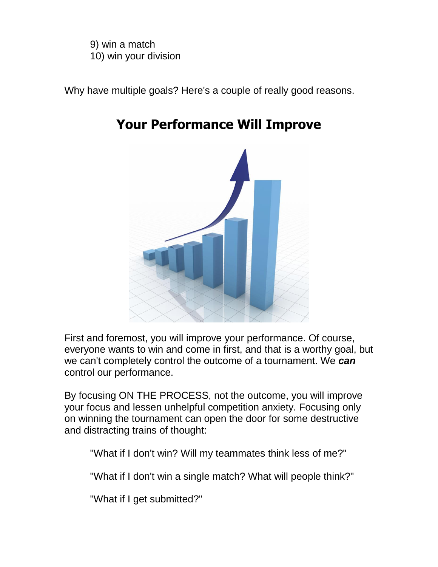9) win a match 10) win your division

Why have multiple goals? Here's a couple of really good reasons.



### **Your Performance Will Improve**

First and foremost, you will improve your performance. Of course, everyone wants to win and come in first, and that is a worthy goal, but we can't completely control the outcome of a tournament. We *can* control our performance.

By focusing ON THE PROCESS, not the outcome, you will improve your focus and lessen unhelpful competition anxiety. Focusing only on winning the tournament can open the door for some destructive and distracting trains of thought:

"What if I don't win? Will my teammates think less of me?"

"What if I don't win a single match? What will people think?"

"What if I get submitted?"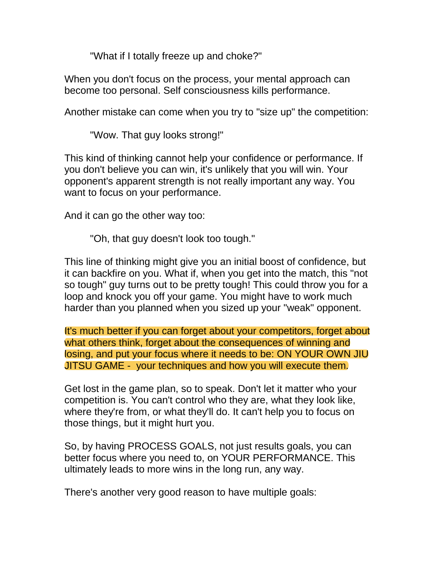"What if I totally freeze up and choke?"

When you don't focus on the process, your mental approach can become too personal. Self consciousness kills performance.

Another mistake can come when you try to "size up" the competition:

"Wow. That guy looks strong!"

This kind of thinking cannot help your confidence or performance. If you don't believe you can win, it's unlikely that you will win. Your opponent's apparent strength is not really important any way. You want to focus on your performance.

And it can go the other way too:

"Oh, that guy doesn't look too tough."

This line of thinking might give you an initial boost of confidence, but it can backfire on you. What if, when you get into the match, this "not so tough" guy turns out to be pretty tough! This could throw you for a loop and knock you off your game. You might have to work much harder than you planned when you sized up your "weak" opponent.

It's much better if you can forget about your competitors, forget about what others think, forget about the consequences of winning and losing, and put your focus where it needs to be: ON YOUR OWN JIU JITSU GAME - your techniques and how you will execute them.

Get lost in the game plan, so to speak. Don't let it matter who your competition is. You can't control who they are, what they look like, where they're from, or what they'll do. It can't help you to focus on those things, but it might hurt you.

So, by having PROCESS GOALS, not just results goals, you can better focus where you need to, on YOUR PERFORMANCE. This ultimately leads to more wins in the long run, any way.

There's another very good reason to have multiple goals: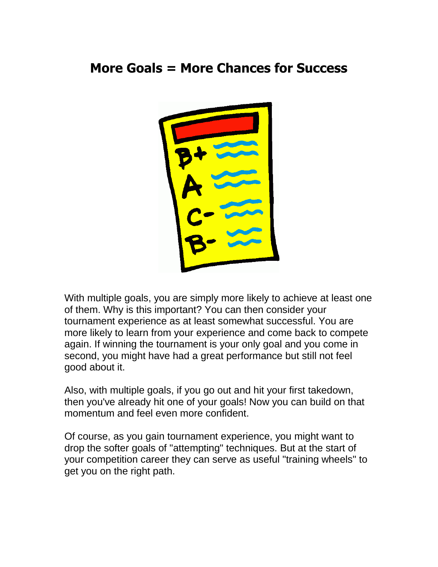### **More Goals = More Chances for Success**



With multiple goals, you are simply more likely to achieve at least one of them. Why is this important? You can then consider your tournament experience as at least somewhat successful. You are more likely to learn from your experience and come back to compete again. If winning the tournament is your only goal and you come in second, you might have had a great performance but still not feel good about it.

Also, with multiple goals, if you go out and hit your first takedown, then you've already hit one of your goals! Now you can build on that momentum and feel even more confident.

Of course, as you gain tournament experience, you might want to drop the softer goals of "attempting" techniques. But at the start of your competition career they can serve as useful "training wheels" to get you on the right path.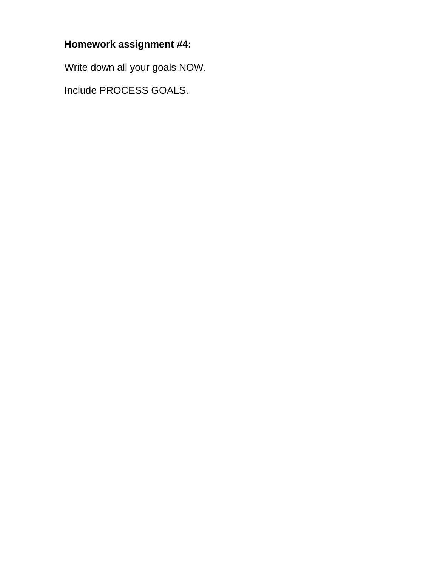### **Homework assignment #4:**

Write down all your goals NOW.

Include PROCESS GOALS.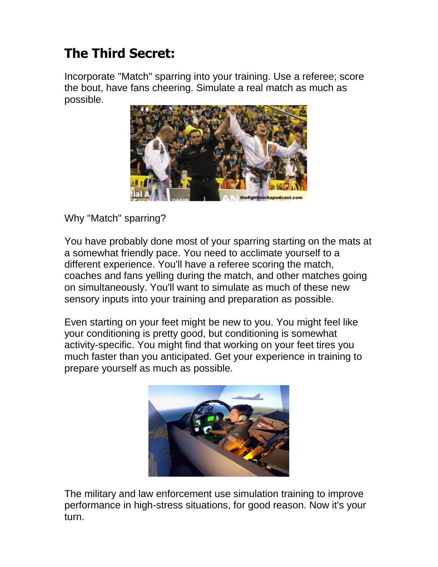## **The Third Secret:**

Incorporate "Match" sparring into your training. Use a referee; score the bout, have fans cheering. Simulate a real match as much as possible.



Why "Match" sparring?

You have probably done most of your sparring starting on the mats at a somewhat friendly pace. You need to acclimate yourself to a different experience. You'll have a referee scoring the match, coaches and fans yelling during the match, and other matches going on simultaneously. You'll want to simulate as much of these new sensory inputs into your training and preparation as possible.

Even starting on your feet might be new to you. You might feel like your conditioning is pretty good, but conditioning is somewhat activity-specific. You might find that working on your feet tires you much faster than you anticipated. Get your experience in training to prepare yourself as much as possible.



The military and law enforcement use simulation training to improve performance in high-stress situations, for good reason. Now it's your turn.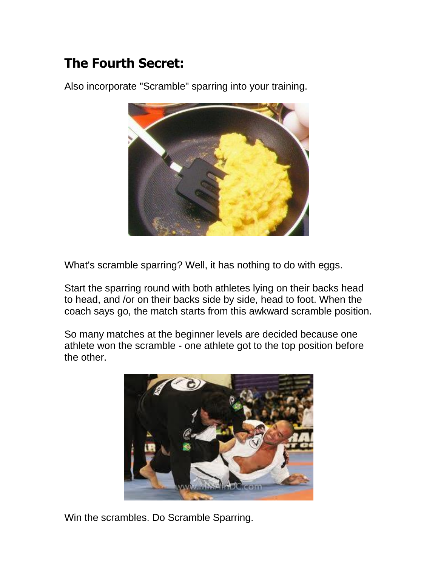## **The Fourth Secret:**

Also incorporate "Scramble" sparring into your training.

What's scramble sparring? Well, it has nothing to do with eggs.

Start the sparring round with both athletes lying on their backs head to head, and /or on their backs side by side, head to foot. When the coach says go, the match starts from this awkward scramble position.

So many matches at the beginner levels are decided because one athlete won the scramble - one athlete got to the top position before the other.



Win the scrambles. Do Scramble Sparring.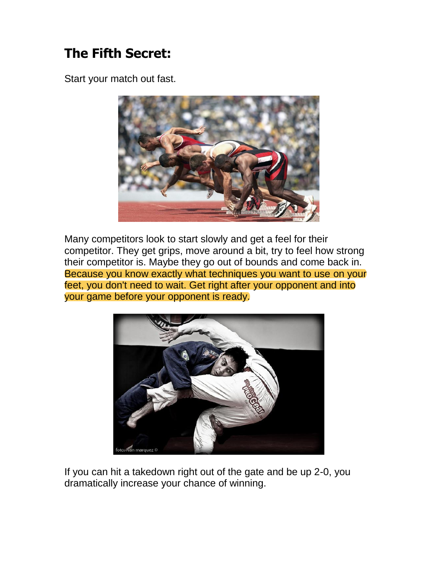## **The Fifth Secret:**

Start your match out fast.



Many competitors look to start slowly and get a feel for their competitor. They get grips, move around a bit, try to feel how strong their competitor is. Maybe they go out of bounds and come back in. Because you know exactly what techniques you want to use on your feet, you don't need to wait. Get right after your opponent and into your game before your opponent is ready.



If you can hit a takedown right out of the gate and be up 2-0, you dramatically increase your chance of winning.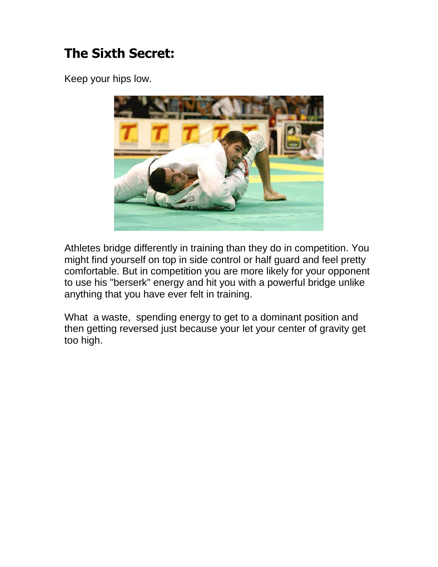## **The Sixth Secret:**

Keep your hips low.



Athletes bridge differently in training than they do in competition. You might find yourself on top in side control or half guard and feel pretty comfortable. But in competition you are more likely for your opponent to use his "berserk" energy and hit you with a powerful bridge unlike anything that you have ever felt in training.

What a waste, spending energy to get to a dominant position and then getting reversed just because your let your center of gravity get too high.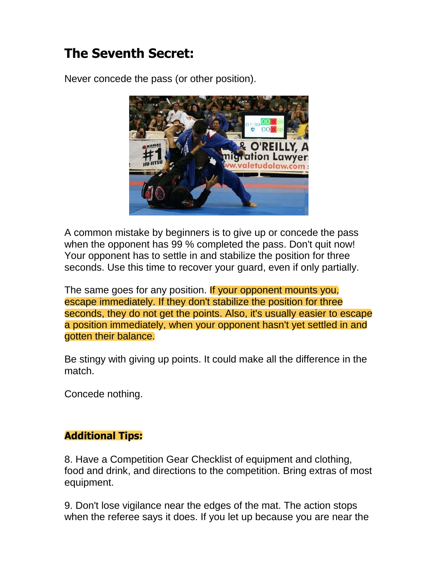## **The Seventh Secret:**

Never concede the pass (or other position).



A common mistake by beginners is to give up or concede the pass when the opponent has 99 % completed the pass. Don't quit now! Your opponent has to settle in and stabilize the position for three seconds. Use this time to recover your guard, even if only partially.

The same goes for any position. If your opponent mounts you, escape immediately. If they don't stabilize the position for three seconds, they do not get the points. Also, it's usually easier to escape a position immediately, when your opponent hasn't yet settled in and gotten their balance.

Be stingy with giving up points. It could make all the difference in the match.

Concede nothing.

### **Additional Tips:**

8. Have a Competition Gear Checklist of equipment and clothing, food and drink, and directions to the competition. Bring extras of most equipment.

9. Don't lose vigilance near the edges of the mat. The action stops when the referee says it does. If you let up because you are near the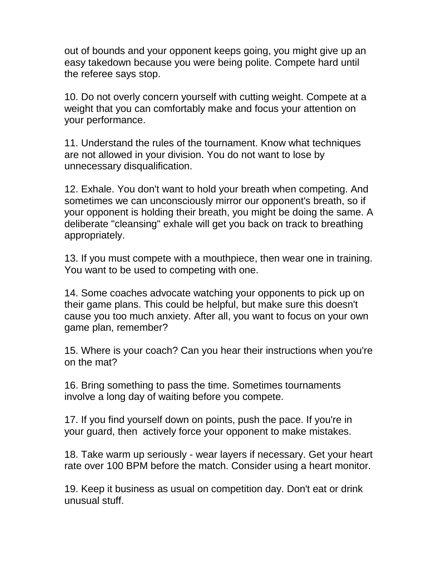out of bounds and your opponent keeps going, you might give up an easy takedown because you were being polite. Compete hard until the referee says stop.

10. Do not overly concern yourself with cutting weight. Compete at a weight that you can comfortably make and focus your attention on your performance.

11. Understand the rules of the tournament. Know what techniques are not allowed in your division. You do not want to lose by unnecessary disqualification.

12. Exhale. You don't want to hold your breath when competing. And sometimes we can unconsciously mirror our opponent's breath, so if your opponent is holding their breath, you might be doing the same. A deliberate "cleansing" exhale will get you back on track to breathing appropriately.

13. If you must compete with a mouthpiece, then wear one in training. You want to be used to competing with one.

14. Some coaches advocate watching your opponents to pick up on their game plans. This could be helpful, but make sure this doesn't cause you too much anxiety. After all, you want to focus on your own game plan, remember?

15. Where is your coach? Can you hear their instructions when you're on the mat?

16. Bring something to pass the time. Sometimes tournaments involve a long day of waiting before you compete.

17. If you find yourself down on points, push the pace. If you're in your guard, then actively force your opponent to make mistakes.

18. Take warm up seriously - wear layers if necessary. Get your heart rate over 100 BPM before the match. Consider using a heart monitor.

19. Keep it business as usual on competition day. Don't eat or drink unusual stuff.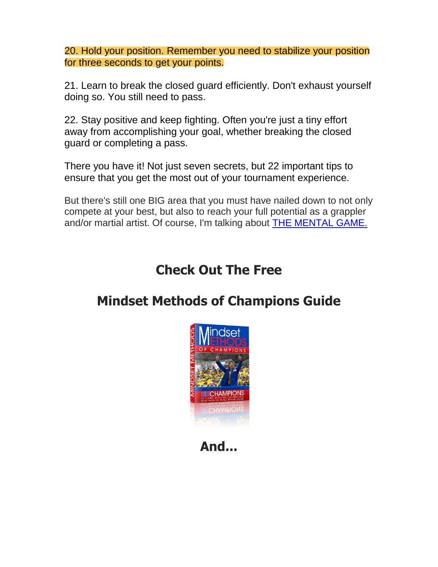20. Hold your position. Remember you need to stabilize your position for three seconds to get your points.

21. Learn to break the closed guard efficiently. Don't exhaust yourself doing so. You still need to pass.

22. Stay positive and keep fighting. Often you're just a tiny effort away from accomplishing your goal, whether breaking the closed guard or completing a pass.

There you have it! Not just seven secrets, but 22 important tips to ensure that you get the most out of your tournament experience.

But there's still one BIG area that you must have nailed down to not only compete at your best, but also to reach your full potential as a grappler and/or martial artist. Of course, I'm talking about [THE MENTAL GAME.](http://fightersconfidence.com/mindset-methods-of-champions-sales-page/)

### **Check Out The Free**

### **Mindset Methods of Champions Guide**